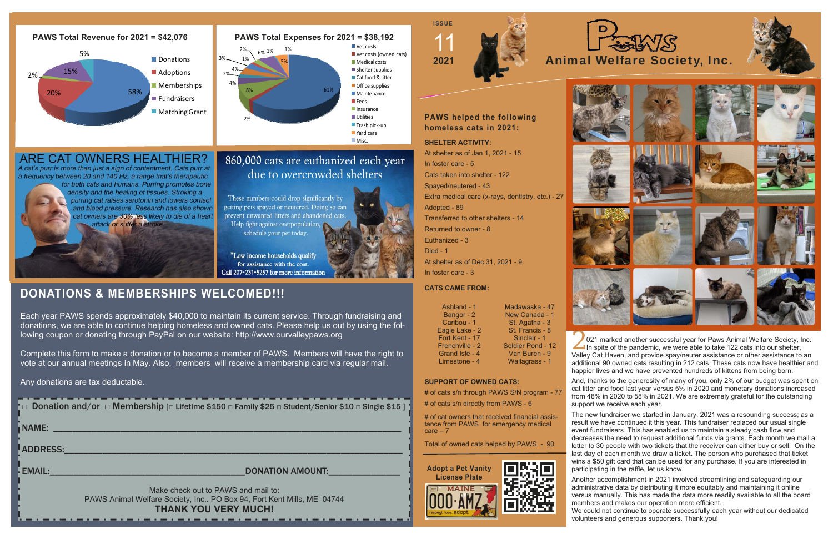2 021 marked another successful year for Paws Animal Welfare Society, Inc.<br>In spite of the pandemic, we were able to take 122 cats into our shelter, Valley Cat Haven, and provide spay/neuter assistance or other assistance to an additional 90 owned cats resulting in 212 cats. These cats now have healthier and happier lives and we have prevented hundreds of kittens from being born.

And, thanks to the generosity of many of you, only 2% of our budget was spent on cat litter and food last year versus 5% in 2020 and monetary donations increased from 48% in 2020 to 58% in 2021. We are extremely grateful for the outstanding support we receive each year.

The new fundraiser we started in January, 2021 was a resounding success; as a result we have continued it this year. This fundraiser replaced our usual single event fundraisers. This has enabled us to maintain a steady cash flow and decreases the need to request additional funds via grants. Each month we mail a letter to 30 people with two tickets that the receiver can either buy or sell. On the last day of each month we draw a ticket. The person who purchased that ticket wins a \$50 gift card that can be used for any purchase. If you are interested in participating in the raffle, let us know.

# of cat owners that received financial assistance from PAWS for emergency medical  $care - 7$ 

> Another accomplishment in 2021 involved streamlining and safeguarding our administrative data by distributing it more equitably and maintaining it online versus manually. This has made the data more readily available to all the board members and makes our operation more efficient.

|  | $\uparrow$ $\Box$ Donation and/or $\Box$ Membership [ $\Box$ Lifetime \$150 $\Box$ Family \$25 $\Box$ Student/Senior \$10 $\Box$ Single \$15 ] $\downarrow$ |
|--|-------------------------------------------------------------------------------------------------------------------------------------------------------------|
|  |                                                                                                                                                             |

We could not continue to operate successfully each year without our dedicated volunteers and generous supporters. Thank you!

In foster care - 3

**CATS CAME FROM:** 

# **SUPPORT OF OWNED CATS:**

# of cats s/n through PAWS S/N program - 77

# of cats s/n directly from PAWS - 6

Total of owned cats helped by PAWS - 90







# **DONATIONS & MEMBERSHIPS WELCOMED!!!**

Each year PAWS spends approximately \$40,000 to maintain its current service. Through fundraising and donations, we are able to continue helping homeless and owned cats. Please help us out by using the following coupon or donating through PayPal on our website: http://www.ourvalleypaws.org

Complete this form to make a donation or to become a member of PAWS. Members will have the right to vote at our annual meetings in May. Also, members will receive a membership card via regular mail.



Any donations are tax deductable.

NAME: \_\_\_\_\_\_\_\_\_\_\_\_\_\_\_\_\_\_\_\_\_\_\_\_\_\_\_\_\_\_\_\_\_\_\_\_\_\_\_\_\_\_\_\_\_\_\_\_\_\_\_\_\_\_\_\_\_\_\_\_\_\_\_\_\_\_\_\_\_\_\_\_\_

LADDRESS:

EMAIL:\_\_\_\_\_\_\_\_\_\_\_\_\_\_\_\_\_\_\_\_\_\_\_\_\_\_\_\_\_\_\_\_\_\_\_\_\_\_\_\_\_DONATION AMOUNT:\_\_\_\_\_\_\_\_\_\_\_\_\_\_\_

Call 207-231-5257 for more information

Make check out to PAWS and mail to: PAWS Animal Welfare Society, Inc.. PO Box 94, Fort Kent Mills, ME 04744 **THANK YOU VERY MUCH!** 













Ashland - 1

Bangor - 2 Caribou - 1 Eagle Lake - 2 Fort Kent - 17 Frenchville - 2 Grand Isle - 4 Limestone - 4

Madawaska - 47

New Canada - 1 St. Agatha - 3 St. Francis - 8 Sinclair - 1 Soldier Pond - 12 Van Buren - 9 Wallagrass - 1